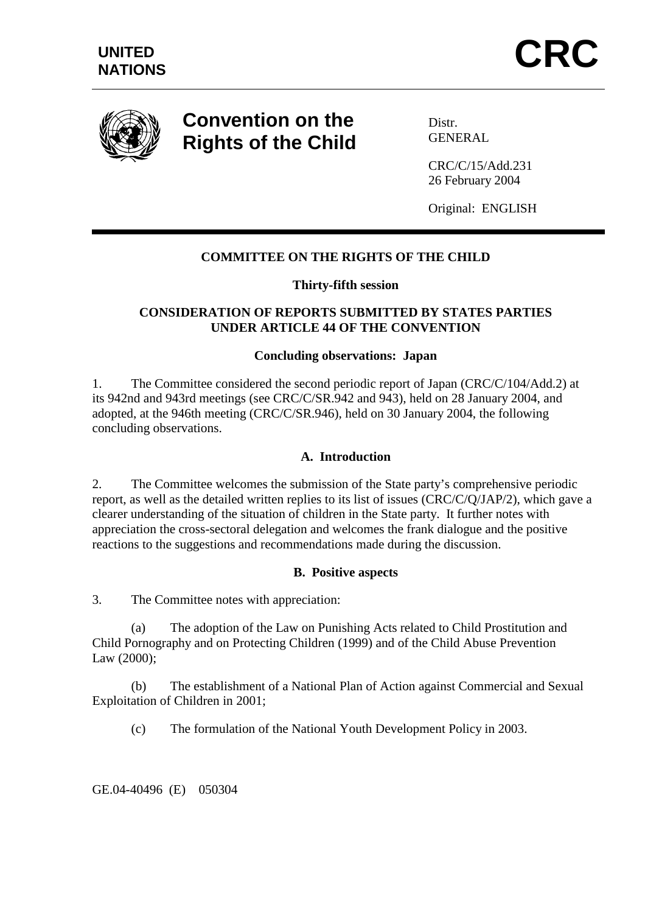

# **Convention on the Rights of the Child**

Distr. **GENERAL** 

CRC/C/15/Add.231 26 February 2004

Original: ENGLISH

# **COMMITTEE ON THE RIGHTS OF THE CHILD**

# **Thirty-fifth session**

# **CONSIDERATION OF REPORTS SUBMITTED BY STATES PARTIES UNDER ARTICLE 44 OF THE CONVENTION**

## **Concluding observations: Japan**

1. The Committee considered the second periodic report of Japan (CRC/C/104/Add.2) at its 942nd and 943rd meetings (see CRC/C/SR.942 and 943), held on 28 January 2004, and adopted, at the 946th meeting (CRC/C/SR.946), held on 30 January 2004, the following concluding observations.

#### **A. Introduction**

2. The Committee welcomes the submission of the State party's comprehensive periodic report, as well as the detailed written replies to its list of issues (CRC/C/Q/JAP/2), which gave a clearer understanding of the situation of children in the State party. It further notes with appreciation the cross-sectoral delegation and welcomes the frank dialogue and the positive reactions to the suggestions and recommendations made during the discussion.

#### **B. Positive aspects**

3. The Committee notes with appreciation:

 (a) The adoption of the Law on Punishing Acts related to Child Prostitution and Child Pornography and on Protecting Children (1999) and of the Child Abuse Prevention Law (2000);

 (b) The establishment of a National Plan of Action against Commercial and Sexual Exploitation of Children in 2001;

(c) The formulation of the National Youth Development Policy in 2003.

GE.04-40496 (E) 050304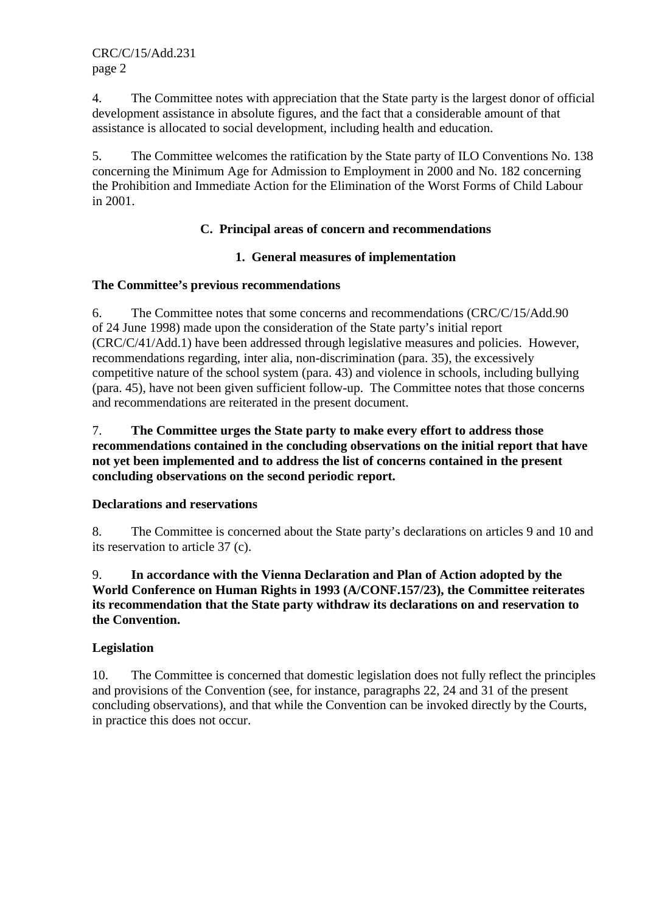4. The Committee notes with appreciation that the State party is the largest donor of official development assistance in absolute figures, and the fact that a considerable amount of that assistance is allocated to social development, including health and education.

5. The Committee welcomes the ratification by the State party of ILO Conventions No. 138 concerning the Minimum Age for Admission to Employment in 2000 and No. 182 concerning the Prohibition and Immediate Action for the Elimination of the Worst Forms of Child Labour in 2001.

# **C. Principal areas of concern and recommendations**

## **1. General measures of implementation**

## **The Committee's previous recommendations**

6. The Committee notes that some concerns and recommendations (CRC/C/15/Add.90 of 24 June 1998) made upon the consideration of the State party's initial report (CRC/C/41/Add.1) have been addressed through legislative measures and policies. However, recommendations regarding, inter alia, non-discrimination (para. 35), the excessively competitive nature of the school system (para. 43) and violence in schools, including bullying (para. 45), have not been given sufficient follow-up. The Committee notes that those concerns and recommendations are reiterated in the present document.

7. **The Committee urges the State party to make every effort to address those recommendations contained in the concluding observations on the initial report that have not yet been implemented and to address the list of concerns contained in the present concluding observations on the second periodic report.** 

# **Declarations and reservations**

8. The Committee is concerned about the State party's declarations on articles 9 and 10 and its reservation to article 37 (c).

# 9. **In accordance with the Vienna Declaration and Plan of Action adopted by the World Conference on Human Rights in 1993 (A/CONF.157/23), the Committee reiterates its recommendation that the State party withdraw its declarations on and reservation to the Convention.**

# **Legislation**

10. The Committee is concerned that domestic legislation does not fully reflect the principles and provisions of the Convention (see, for instance, paragraphs 22, 24 and 31 of the present concluding observations), and that while the Convention can be invoked directly by the Courts, in practice this does not occur.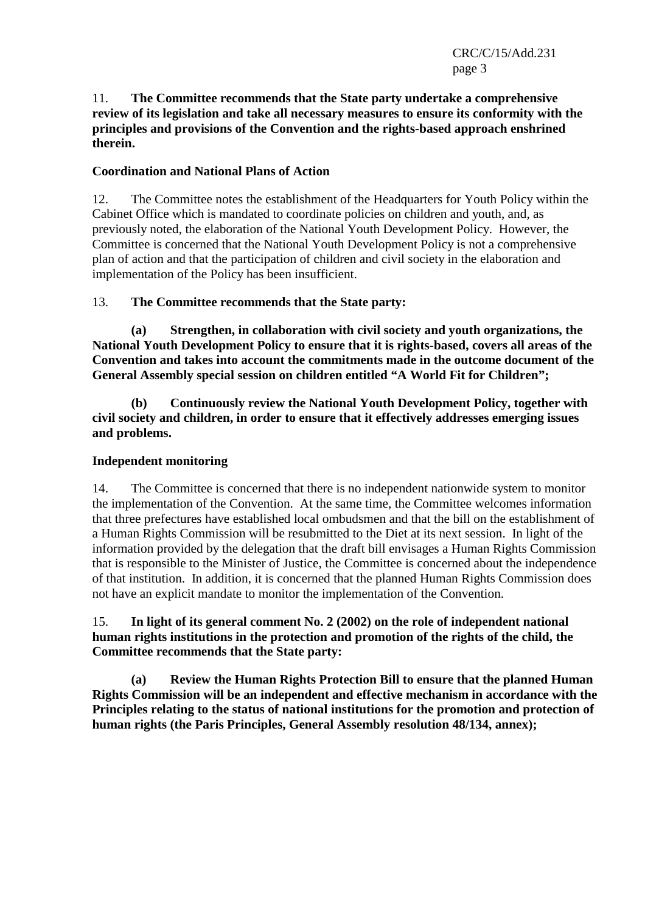CRC/C/15/Add.231 page 3

## 11. **The Committee recommends that the State party undertake a comprehensive review of its legislation and take all necessary measures to ensure its conformity with the principles and provisions of the Convention and the rights-based approach enshrined therein.**

# **Coordination and National Plans of Action**

12. The Committee notes the establishment of the Headquarters for Youth Policy within the Cabinet Office which is mandated to coordinate policies on children and youth, and, as previously noted, the elaboration of the National Youth Development Policy. However, the Committee is concerned that the National Youth Development Policy is not a comprehensive plan of action and that the participation of children and civil society in the elaboration and implementation of the Policy has been insufficient.

## 13. **The Committee recommends that the State party:**

 **(a) Strengthen, in collaboration with civil society and youth organizations, the National Youth Development Policy to ensure that it is rights-based, covers all areas of the Convention and takes into account the commitments made in the outcome document of the General Assembly special session on children entitled "A World Fit for Children";** 

 **(b) Continuously review the National Youth Development Policy, together with civil society and children, in order to ensure that it effectively addresses emerging issues and problems.** 

#### **Independent monitoring**

14. The Committee is concerned that there is no independent nationwide system to monitor the implementation of the Convention. At the same time, the Committee welcomes information that three prefectures have established local ombudsmen and that the bill on the establishment of a Human Rights Commission will be resubmitted to the Diet at its next session. In light of the information provided by the delegation that the draft bill envisages a Human Rights Commission that is responsible to the Minister of Justice, the Committee is concerned about the independence of that institution. In addition, it is concerned that the planned Human Rights Commission does not have an explicit mandate to monitor the implementation of the Convention.

15. **In light of its general comment No. 2 (2002) on the role of independent national human rights institutions in the protection and promotion of the rights of the child, the Committee recommends that the State party:** 

 **(a) Review the Human Rights Protection Bill to ensure that the planned Human Rights Commission will be an independent and effective mechanism in accordance with the Principles relating to the status of national institutions for the promotion and protection of human rights (the Paris Principles, General Assembly resolution 48/134, annex);**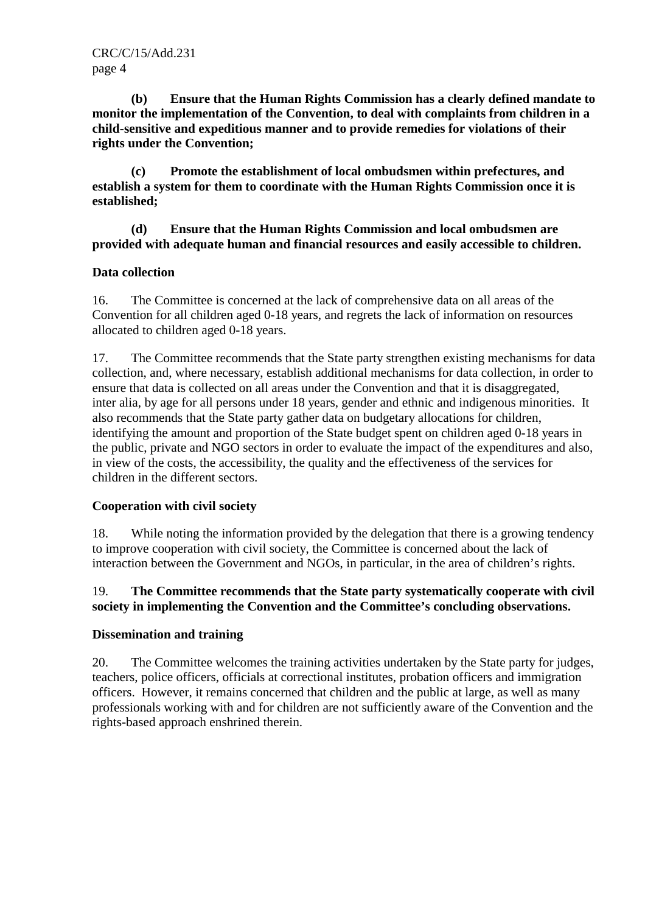**(b) Ensure that the Human Rights Commission has a clearly defined mandate to monitor the implementation of the Convention, to deal with complaints from children in a child-sensitive and expeditious manner and to provide remedies for violations of their rights under the Convention;** 

 **(c) Promote the establishment of local ombudsmen within prefectures, and establish a system for them to coordinate with the Human Rights Commission once it is established;** 

 **(d) Ensure that the Human Rights Commission and local ombudsmen are provided with adequate human and financial resources and easily accessible to children.** 

# **Data collection**

16. The Committee is concerned at the lack of comprehensive data on all areas of the Convention for all children aged 0-18 years, and regrets the lack of information on resources allocated to children aged 0-18 years.

17. The Committee recommends that the State party strengthen existing mechanisms for data collection, and, where necessary, establish additional mechanisms for data collection, in order to ensure that data is collected on all areas under the Convention and that it is disaggregated, inter alia, by age for all persons under 18 years, gender and ethnic and indigenous minorities. It also recommends that the State party gather data on budgetary allocations for children, identifying the amount and proportion of the State budget spent on children aged 0-18 years in the public, private and NGO sectors in order to evaluate the impact of the expenditures and also, in view of the costs, the accessibility, the quality and the effectiveness of the services for children in the different sectors.

# **Cooperation with civil society**

18. While noting the information provided by the delegation that there is a growing tendency to improve cooperation with civil society, the Committee is concerned about the lack of interaction between the Government and NGOs, in particular, in the area of children's rights.

# 19. **The Committee recommends that the State party systematically cooperate with civil society in implementing the Convention and the Committee's concluding observations.**

# **Dissemination and training**

20. The Committee welcomes the training activities undertaken by the State party for judges, teachers, police officers, officials at correctional institutes, probation officers and immigration officers. However, it remains concerned that children and the public at large, as well as many professionals working with and for children are not sufficiently aware of the Convention and the rights-based approach enshrined therein.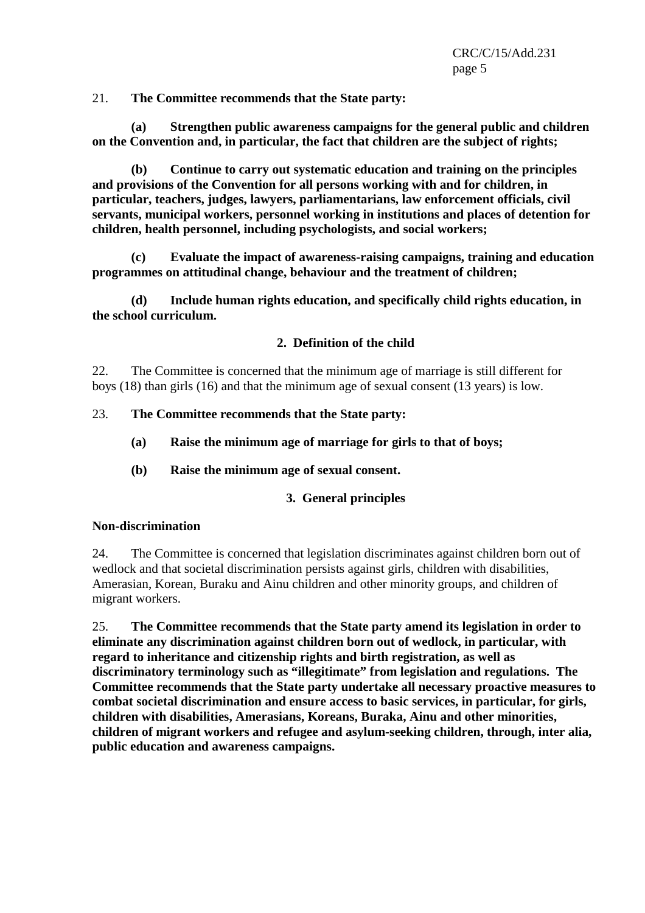21. **The Committee recommends that the State party:** 

 **(a) Strengthen public awareness campaigns for the general public and children on the Convention and, in particular, the fact that children are the subject of rights;** 

 **(b) Continue to carry out systematic education and training on the principles and provisions of the Convention for all persons working with and for children, in particular, teachers, judges, lawyers, parliamentarians, law enforcement officials, civil servants, municipal workers, personnel working in institutions and places of detention for children, health personnel, including psychologists, and social workers;** 

 **(c) Evaluate the impact of awareness-raising campaigns, training and education programmes on attitudinal change, behaviour and the treatment of children;** 

 **(d) Include human rights education, and specifically child rights education, in the school curriculum.** 

## **2. Definition of the child**

22. The Committee is concerned that the minimum age of marriage is still different for boys (18) than girls (16) and that the minimum age of sexual consent (13 years) is low.

## 23. **The Committee recommends that the State party:**

- **(a) Raise the minimum age of marriage for girls to that of boys;**
- **(b) Raise the minimum age of sexual consent.**

# **3. General principles**

#### **Non-discrimination**

24. The Committee is concerned that legislation discriminates against children born out of wedlock and that societal discrimination persists against girls, children with disabilities, Amerasian, Korean, Buraku and Ainu children and other minority groups, and children of migrant workers.

25. **The Committee recommends that the State party amend its legislation in order to eliminate any discrimination against children born out of wedlock, in particular, with regard to inheritance and citizenship rights and birth registration, as well as discriminatory terminology such as "illegitimate" from legislation and regulations. The Committee recommends that the State party undertake all necessary proactive measures to combat societal discrimination and ensure access to basic services, in particular, for girls, children with disabilities, Amerasians, Koreans, Buraka, Ainu and other minorities, children of migrant workers and refugee and asylum-seeking children, through, inter alia, public education and awareness campaigns.**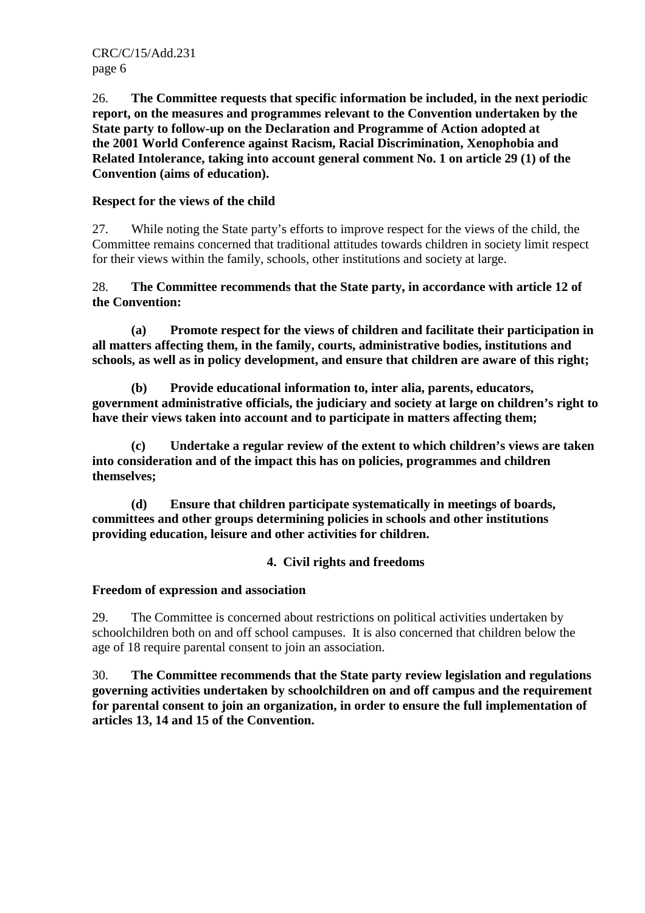26. **The Committee requests that specific information be included, in the next periodic report, on the measures and programmes relevant to the Convention undertaken by the State party to follow-up on the Declaration and Programme of Action adopted at the 2001 World Conference against Racism, Racial Discrimination, Xenophobia and Related Intolerance, taking into account general comment No. 1 on article 29 (1) of the Convention (aims of education).** 

# **Respect for the views of the child**

27. While noting the State party's efforts to improve respect for the views of the child, the Committee remains concerned that traditional attitudes towards children in society limit respect for their views within the family, schools, other institutions and society at large.

# 28. **The Committee recommends that the State party, in accordance with article 12 of the Convention:**

 **(a) Promote respect for the views of children and facilitate their participation in all matters affecting them, in the family, courts, administrative bodies, institutions and schools, as well as in policy development, and ensure that children are aware of this right;** 

 **(b) Provide educational information to, inter alia, parents, educators, government administrative officials, the judiciary and society at large on children's right to have their views taken into account and to participate in matters affecting them;** 

 **(c) Undertake a regular review of the extent to which children's views are taken into consideration and of the impact this has on policies, programmes and children themselves;** 

 **(d) Ensure that children participate systematically in meetings of boards, committees and other groups determining policies in schools and other institutions providing education, leisure and other activities for children.** 

# **4. Civil rights and freedoms**

# **Freedom of expression and association**

29. The Committee is concerned about restrictions on political activities undertaken by schoolchildren both on and off school campuses. It is also concerned that children below the age of 18 require parental consent to join an association.

30. **The Committee recommends that the State party review legislation and regulations governing activities undertaken by schoolchildren on and off campus and the requirement for parental consent to join an organization, in order to ensure the full implementation of articles 13, 14 and 15 of the Convention.**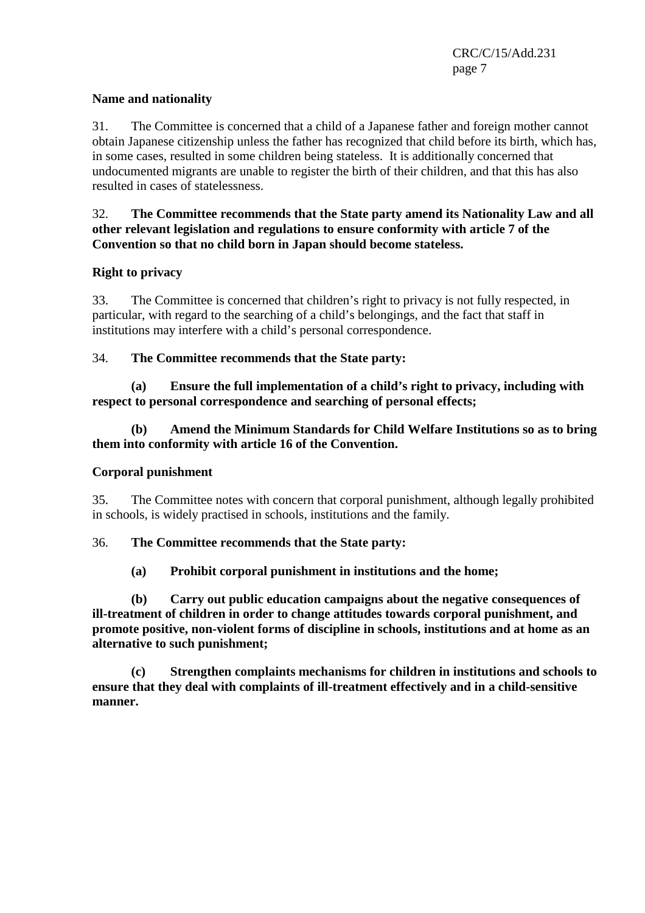# **Name and nationality**

31. The Committee is concerned that a child of a Japanese father and foreign mother cannot obtain Japanese citizenship unless the father has recognized that child before its birth, which has, in some cases, resulted in some children being stateless. It is additionally concerned that undocumented migrants are unable to register the birth of their children, and that this has also resulted in cases of statelessness.

# 32. **The Committee recommends that the State party amend its Nationality Law and all other relevant legislation and regulations to ensure conformity with article 7 of the Convention so that no child born in Japan should become stateless.**

# **Right to privacy**

33. The Committee is concerned that children's right to privacy is not fully respected, in particular, with regard to the searching of a child's belongings, and the fact that staff in institutions may interfere with a child's personal correspondence.

# 34. **The Committee recommends that the State party:**

 **(a) Ensure the full implementation of a child's right to privacy, including with respect to personal correspondence and searching of personal effects;** 

# **(b) Amend the Minimum Standards for Child Welfare Institutions so as to bring them into conformity with article 16 of the Convention.**

# **Corporal punishment**

35. The Committee notes with concern that corporal punishment, although legally prohibited in schools, is widely practised in schools, institutions and the family.

# 36. **The Committee recommends that the State party:**

# **(a) Prohibit corporal punishment in institutions and the home;**

 **(b) Carry out public education campaigns about the negative consequences of ill-treatment of children in order to change attitudes towards corporal punishment, and promote positive, non-violent forms of discipline in schools, institutions and at home as an alternative to such punishment;** 

 **(c) Strengthen complaints mechanisms for children in institutions and schools to ensure that they deal with complaints of ill-treatment effectively and in a child-sensitive manner.**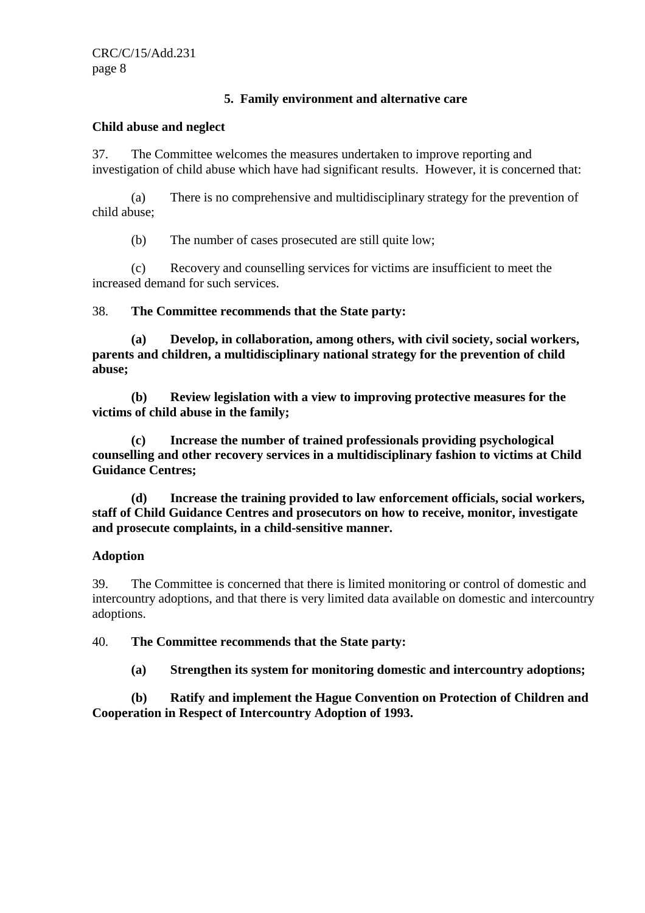# **5. Family environment and alternative care**

#### **Child abuse and neglect**

37. The Committee welcomes the measures undertaken to improve reporting and investigation of child abuse which have had significant results. However, it is concerned that:

 (a) There is no comprehensive and multidisciplinary strategy for the prevention of child abuse;

(b) The number of cases prosecuted are still quite low;

 (c) Recovery and counselling services for victims are insufficient to meet the increased demand for such services.

38. **The Committee recommends that the State party:** 

 **(a) Develop, in collaboration, among others, with civil society, social workers, parents and children, a multidisciplinary national strategy for the prevention of child abuse;** 

 **(b) Review legislation with a view to improving protective measures for the victims of child abuse in the family;** 

 **(c) Increase the number of trained professionals providing psychological counselling and other recovery services in a multidisciplinary fashion to victims at Child Guidance Centres;** 

 **(d) Increase the training provided to law enforcement officials, social workers, staff of Child Guidance Centres and prosecutors on how to receive, monitor, investigate and prosecute complaints, in a child-sensitive manner.** 

# **Adoption**

39. The Committee is concerned that there is limited monitoring or control of domestic and intercountry adoptions, and that there is very limited data available on domestic and intercountry adoptions.

40. **The Committee recommends that the State party:** 

 **(a) Strengthen its system for monitoring domestic and intercountry adoptions;** 

 **(b) Ratify and implement the Hague Convention on Protection of Children and Cooperation in Respect of Intercountry Adoption of 1993.**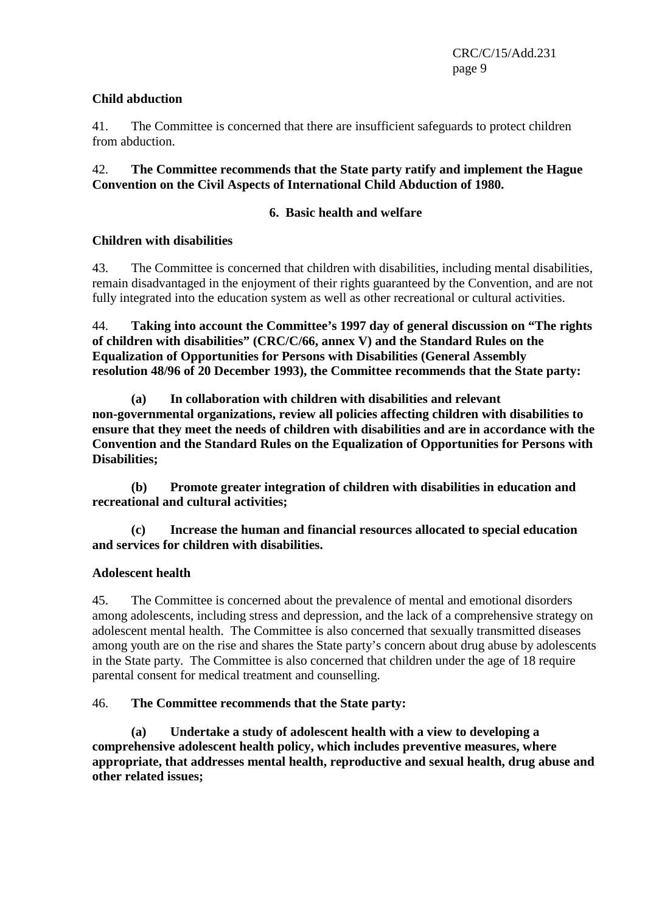# **Child abduction**

41. The Committee is concerned that there are insufficient safeguards to protect children from abduction.

# 42. **The Committee recommends that the State party ratify and implement the Hague Convention on the Civil Aspects of International Child Abduction of 1980.**

# **6. Basic health and welfare**

# **Children with disabilities**

43. The Committee is concerned that children with disabilities, including mental disabilities, remain disadvantaged in the enjoyment of their rights guaranteed by the Convention, and are not fully integrated into the education system as well as other recreational or cultural activities.

44. **Taking into account the Committee's 1997 day of general discussion on "The rights of children with disabilities" (CRC/C/66, annex V) and the Standard Rules on the Equalization of Opportunities for Persons with Disabilities (General Assembly resolution 48/96 of 20 December 1993), the Committee recommends that the State party:**

 **(a) In collaboration with children with disabilities and relevant non-governmental organizations, review all policies affecting children with disabilities to ensure that they meet the needs of children with disabilities and are in accordance with the Convention and the Standard Rules on the Equalization of Opportunities for Persons with Disabilities;** 

 **(b) Promote greater integration of children with disabilities in education and recreational and cultural activities;** 

 **(c) Increase the human and financial resources allocated to special education and services for children with disabilities.** 

# **Adolescent health**

45. The Committee is concerned about the prevalence of mental and emotional disorders among adolescents, including stress and depression, and the lack of a comprehensive strategy on adolescent mental health. The Committee is also concerned that sexually transmitted diseases among youth are on the rise and shares the State party's concern about drug abuse by adolescents in the State party. The Committee is also concerned that children under the age of 18 require parental consent for medical treatment and counselling.

# 46. **The Committee recommends that the State party:**

 **(a) Undertake a study of adolescent health with a view to developing a comprehensive adolescent health policy, which includes preventive measures, where appropriate, that addresses mental health, reproductive and sexual health, drug abuse and other related issues;**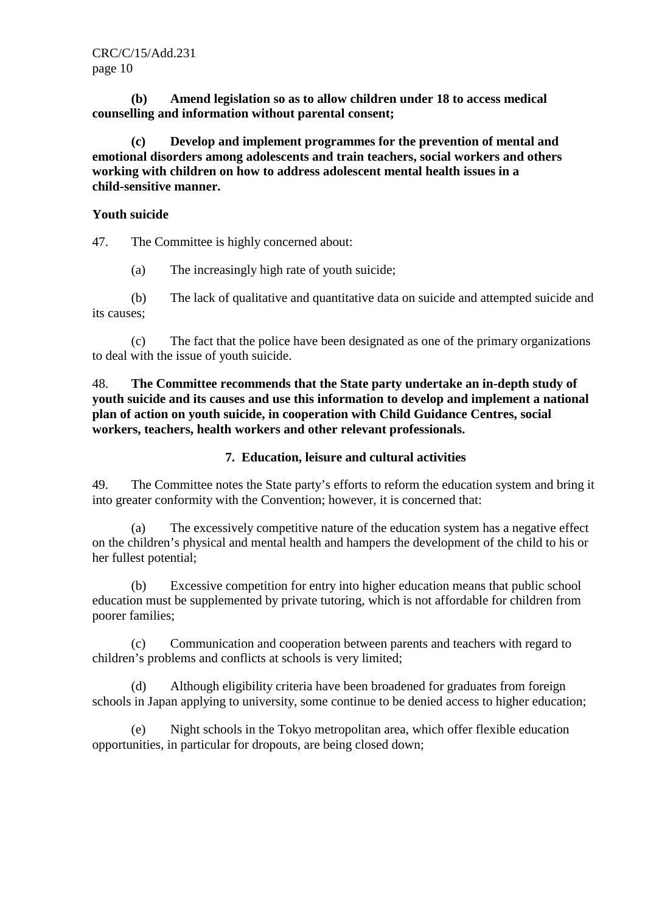**(b) Amend legislation so as to allow children under 18 to access medical counselling and information without parental consent;** 

 **(c) Develop and implement programmes for the prevention of mental and emotional disorders among adolescents and train teachers, social workers and others working with children on how to address adolescent mental health issues in a child-sensitive manner.** 

#### **Youth suicide**

47. The Committee is highly concerned about:

(a) The increasingly high rate of youth suicide;

 (b) The lack of qualitative and quantitative data on suicide and attempted suicide and its causes;

 (c) The fact that the police have been designated as one of the primary organizations to deal with the issue of youth suicide.

48. **The Committee recommends that the State party undertake an in-depth study of youth suicide and its causes and use this information to develop and implement a national plan of action on youth suicide, in cooperation with Child Guidance Centres, social workers, teachers, health workers and other relevant professionals.** 

# **7. Education, leisure and cultural activities**

49. The Committee notes the State party's efforts to reform the education system and bring it into greater conformity with the Convention; however, it is concerned that:

 (a) The excessively competitive nature of the education system has a negative effect on the children's physical and mental health and hampers the development of the child to his or her fullest potential;

 (b) Excessive competition for entry into higher education means that public school education must be supplemented by private tutoring, which is not affordable for children from poorer families;

 (c) Communication and cooperation between parents and teachers with regard to children's problems and conflicts at schools is very limited;

 (d) Although eligibility criteria have been broadened for graduates from foreign schools in Japan applying to university, some continue to be denied access to higher education;

 (e) Night schools in the Tokyo metropolitan area, which offer flexible education opportunities, in particular for dropouts, are being closed down;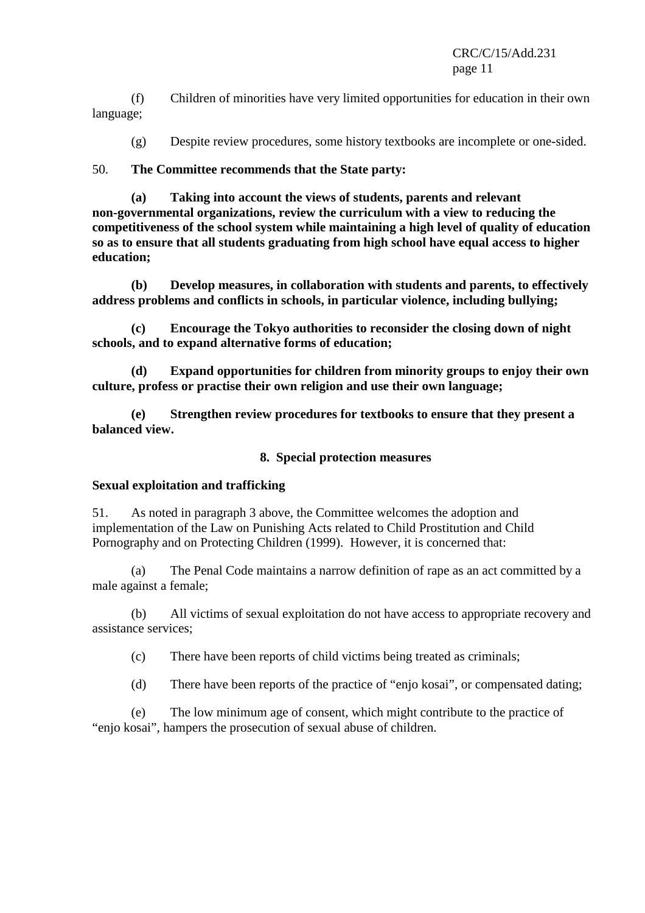CRC/C/15/Add.231 page 11

 (f) Children of minorities have very limited opportunities for education in their own language;

(g) Despite review procedures, some history textbooks are incomplete or one-sided.

# 50. **The Committee recommends that the State party:**

 **(a) Taking into account the views of students, parents and relevant non-governmental organizations, review the curriculum with a view to reducing the competitiveness of the school system while maintaining a high level of quality of education so as to ensure that all students graduating from high school have equal access to higher education;** 

 **(b) Develop measures, in collaboration with students and parents, to effectively address problems and conflicts in schools, in particular violence, including bullying;** 

 **(c) Encourage the Tokyo authorities to reconsider the closing down of night schools, and to expand alternative forms of education;** 

 **(d) Expand opportunities for children from minority groups to enjoy their own culture, profess or practise their own religion and use their own language;** 

 **(e) Strengthen review procedures for textbooks to ensure that they present a balanced view.** 

#### **8. Special protection measures**

# **Sexual exploitation and trafficking**

51. As noted in paragraph 3 above, the Committee welcomes the adoption and implementation of the Law on Punishing Acts related to Child Prostitution and Child Pornography and on Protecting Children (1999). However, it is concerned that:

 (a) The Penal Code maintains a narrow definition of rape as an act committed by a male against a female;

 (b) All victims of sexual exploitation do not have access to appropriate recovery and assistance services;

(c) There have been reports of child victims being treated as criminals;

(d) There have been reports of the practice of "enjo kosai", or compensated dating;

 (e) The low minimum age of consent, which might contribute to the practice of "enjo kosai", hampers the prosecution of sexual abuse of children.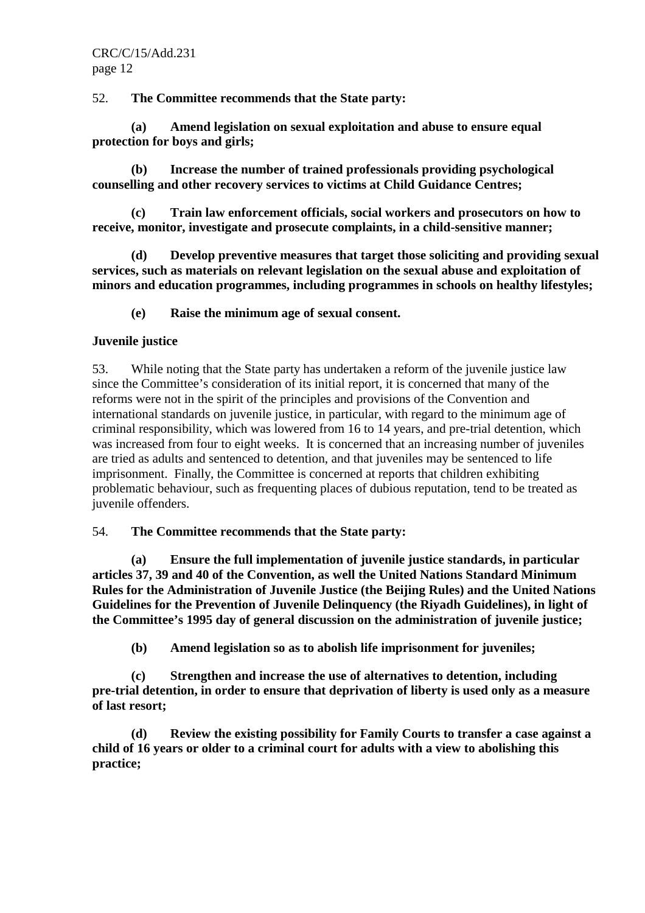52. **The Committee recommends that the State party:** 

 **(a) Amend legislation on sexual exploitation and abuse to ensure equal protection for boys and girls;** 

 **(b) Increase the number of trained professionals providing psychological counselling and other recovery services to victims at Child Guidance Centres;** 

 **(c) Train law enforcement officials, social workers and prosecutors on how to receive, monitor, investigate and prosecute complaints, in a child-sensitive manner;** 

 **(d) Develop preventive measures that target those soliciting and providing sexual services, such as materials on relevant legislation on the sexual abuse and exploitation of minors and education programmes, including programmes in schools on healthy lifestyles;** 

 **(e) Raise the minimum age of sexual consent.** 

# **Juvenile justice**

53. While noting that the State party has undertaken a reform of the juvenile justice law since the Committee's consideration of its initial report, it is concerned that many of the reforms were not in the spirit of the principles and provisions of the Convention and international standards on juvenile justice, in particular, with regard to the minimum age of criminal responsibility, which was lowered from 16 to 14 years, and pre-trial detention, which was increased from four to eight weeks. It is concerned that an increasing number of juveniles are tried as adults and sentenced to detention, and that juveniles may be sentenced to life imprisonment. Finally, the Committee is concerned at reports that children exhibiting problematic behaviour, such as frequenting places of dubious reputation, tend to be treated as juvenile offenders.

# 54. **The Committee recommends that the State party:**

 **(a) Ensure the full implementation of juvenile justice standards, in particular articles 37, 39 and 40 of the Convention, as well the United Nations Standard Minimum Rules for the Administration of Juvenile Justice (the Beijing Rules) and the United Nations Guidelines for the Prevention of Juvenile Delinquency (the Riyadh Guidelines), in light of the Committee's 1995 day of general discussion on the administration of juvenile justice;** 

 **(b) Amend legislation so as to abolish life imprisonment for juveniles;** 

 **(c) Strengthen and increase the use of alternatives to detention, including pre-trial detention, in order to ensure that deprivation of liberty is used only as a measure of last resort;** 

 **(d) Review the existing possibility for Family Courts to transfer a case against a child of 16 years or older to a criminal court for adults with a view to abolishing this practice;**